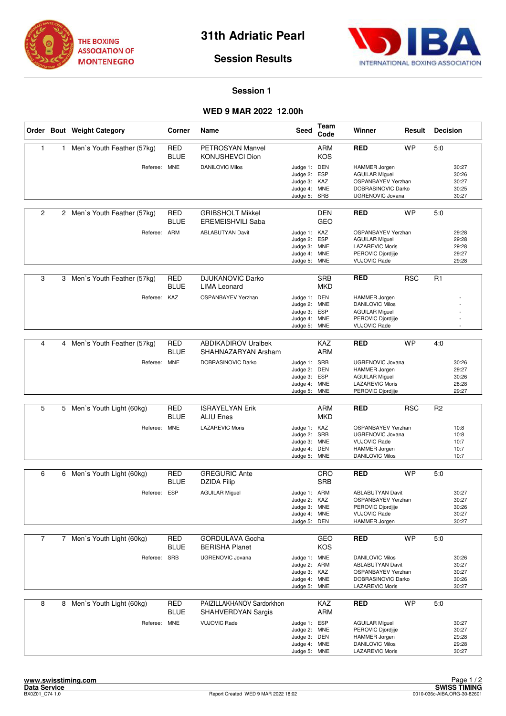



## **Session Results**

## **Session 1**

## **WED 9 MAR 2022 12.00h**

|                |   | Order Bout Weight Category   | Corner                    | Name                                                | Seed                                                                         | Team<br>Code                    | Winner                                                                                                                         | Result     | <b>Decision</b>                           |
|----------------|---|------------------------------|---------------------------|-----------------------------------------------------|------------------------------------------------------------------------------|---------------------------------|--------------------------------------------------------------------------------------------------------------------------------|------------|-------------------------------------------|
| $\mathbf{1}$   | 1 | Men's Youth Feather (57kg)   | <b>RED</b><br><b>BLUE</b> | PETROSYAN Manvel<br>KONUSHEVCI Dion                 |                                                                              | <b>ARM</b><br><b>KOS</b>        | <b>RED</b>                                                                                                                     | <b>WP</b>  | 5:0                                       |
|                |   | Referee: MNE                 |                           | <b>DANILOVIC Milos</b>                              | Judge 1: DEN<br>Judge 2: ESP<br>Judge 3: KAZ<br>Judge 4: MNE<br>Judge 5:     | SRB                             | <b>HAMMER Jorgen</b><br><b>AGUILAR Miguel</b><br><b>OSPANBAYEV Yerzhan</b><br>DOBRASINOVIC Darko<br>UGRENOVIC Jovana           |            | 30:27<br>30:26<br>30:27<br>30:25<br>30:27 |
| $\overline{2}$ |   | 2 Men's Youth Feather (57kg) | <b>RED</b><br>BLUE        | <b>GRIBSHOLT Mikkel</b><br><b>EREMEISHVILI Saba</b> |                                                                              | DEN<br><b>GEO</b>               | <b>RED</b>                                                                                                                     | <b>WP</b>  | 5:0                                       |
|                |   | Referee: ARM                 |                           | <b>ABLABUTYAN Davit</b>                             | Judge 1: KAZ<br>Judge 2: ESP<br>Judge 3: MNE<br>Judge 4: MNE<br>Judge 5: MNE |                                 | OSPANBAYEV Yerzhan<br><b>AGUILAR Miguel</b><br><b>LAZAREVIC Moris</b><br>PEROVIC Djordjije<br><b>VUJOVIC Rade</b>              |            | 29:28<br>29:28<br>29:28<br>29:27<br>29:28 |
| 3              |   | 3 Men's Youth Feather (57kg) | RED<br><b>BLUE</b>        | <b>DJUKANOVIC Darko</b><br><b>LIMA Leonard</b>      |                                                                              | <b>SRB</b><br><b>MKD</b>        | <b>RED</b>                                                                                                                     | <b>RSC</b> | R1                                        |
|                |   | Referee: KAZ                 |                           | OSPANBAYEV Yerzhan                                  | Judge 1: DEN<br>Judge 2: MNE<br>Judge 3: ESP<br>Judge 4: MNE<br>Judge 5:     | <b>MNE</b>                      | <b>HAMMER Jorgen</b><br><b>DANILOVIC Milos</b><br><b>AGUILAR Miguel</b><br>PEROVIC Djordjije<br><b>VUJOVIC Rade</b>            |            |                                           |
| 4              | 4 | Men's Youth Feather (57kg)   | <b>RED</b><br>BLUE        | <b>ABDIKADIROV Uralbek</b><br>SHAHNAZARYAN Arsham   |                                                                              | <b>KAZ</b><br><b>ARM</b>        | <b>RED</b>                                                                                                                     | <b>WP</b>  | 4:0                                       |
|                |   | Referee: MNE                 |                           | DOBRASINOVIC Darko                                  | Judge 1: SRB<br>Judge 2:<br>Judge 3:<br>Judge 4: MNE<br>Judge 5:             | <b>DEN</b><br>ESP<br><b>MNE</b> | <b>UGRENOVIC Jovana</b><br><b>HAMMER Jorgen</b><br><b>AGUILAR Miguel</b><br><b>LAZAREVIC Moris</b><br>PEROVIC Djordjije        |            | 30:26<br>29:27<br>30:26<br>28:28<br>29:27 |
| 5              |   | 5 Men's Youth Light (60kg)   | <b>RED</b>                | <b>ISRAYELYAN Erik</b>                              |                                                                              | <b>ARM</b>                      | <b>RED</b>                                                                                                                     | <b>RSC</b> | R <sub>2</sub>                            |
|                |   |                              | BLUE                      | <b>ALIU Enes</b>                                    |                                                                              | <b>MKD</b>                      |                                                                                                                                |            |                                           |
|                |   | Referee: MNE                 |                           | <b>LAZAREVIC Moris</b>                              | Judge 1: KAZ<br>Judge 2: SRB<br>Judge 3: MNE<br>Judge 4: DEN<br>Judge 5:     | <b>MNE</b>                      | OSPANBAYEV Yerzhan<br><b>UGRENOVIC Jovana</b><br><b>VUJOVIC Rade</b><br>HAMMER Jorgen<br><b>DANILOVIC Milos</b>                |            | 10:8<br>10:8<br>10:7<br>10:7<br>10:7      |
| 6              | 6 | Men's Youth Light (60kg)     | RED                       | <b>GREGURIC Ante</b>                                |                                                                              | CRO                             | <b>RED</b>                                                                                                                     | <b>WP</b>  | 5.0                                       |
|                |   |                              | BLUE                      | <b>DZIDA Filip</b>                                  |                                                                              | <b>SRB</b>                      |                                                                                                                                |            |                                           |
|                |   | Referee: ESP                 |                           | <b>AGUILAR Miguel</b>                               | Judge 1: ARM<br>Judge 2:<br>Judge 3: MNE<br>Judge 4: MNE<br>Judge 5:         | KAZ<br>DEN                      | <b>ABLABUTYAN Davit</b><br>OSPANBAYEV Yerzhan<br>PEROVIC Djordjije<br><b>VUJOVIC Rade</b><br>HAMMER Jorgen                     |            | 30:27<br>30:27<br>30:26<br>30:27<br>30:27 |
| $\overline{7}$ |   | 7 Men's Youth Light (60kg)   | RED                       | <b>GORDULAVA Gocha</b>                              |                                                                              | GEO                             | <b>RED</b>                                                                                                                     | <b>WP</b>  | 5:0                                       |
|                |   | Referee:                     | <b>BLUE</b><br>SRB        | <b>BERISHA Planet</b><br>UGRENOVIC Jovana           | Judge 1: MNE<br>Judge 2: ARM<br>Judge 3: KAZ<br>Judge 4: MNE<br>Judge 5: MNE | KOS                             | <b>DANILOVIC Milos</b><br><b>ABLABUTYAN Davit</b><br><b>OSPANBAYEV Yerzhan</b><br>DOBRASINOVIC Darko<br><b>LAZAREVIC Moris</b> |            | 30:26<br>30:27<br>30:27<br>30:26<br>30:27 |
| 8              | 8 | Men's Youth Light (60kg)     | <b>RED</b><br><b>BLUE</b> | PAIZILLAKHANOV Sardorkhon<br>SHAHVERDYAN Sargis     |                                                                              | <b>KAZ</b><br>ARM               | <b>RED</b>                                                                                                                     | <b>WP</b>  | 5:0                                       |
|                |   | Referee: MNE                 |                           | <b>VUJOVIC Rade</b>                                 | Judge 1: ESP<br>Judge 2: MNE<br>Judge 3: DEN<br>Judge 4: MNE<br>Judge 5: MNE |                                 | <b>AGUILAR Miguel</b><br>PEROVIC Djordjije<br><b>HAMMER Jorgen</b><br><b>DANILOVIC Milos</b><br>LAZAREVIC Moris                |            | 30:27<br>30:27<br>29:28<br>29:28<br>30:27 |